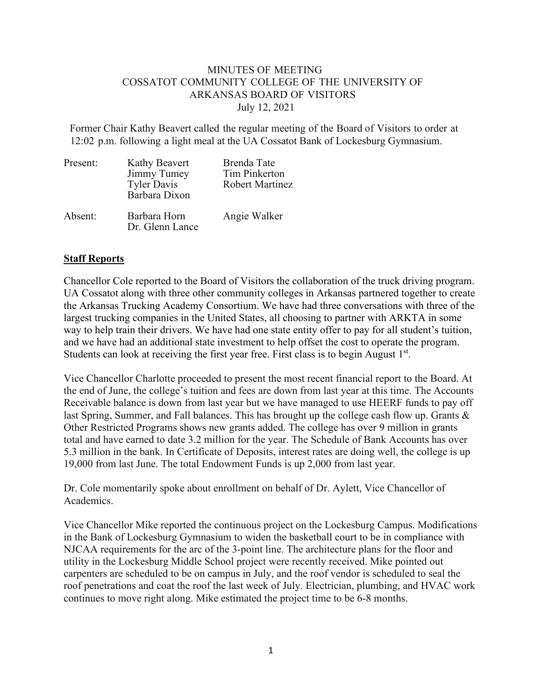## MINUTES OF MEETING COSSATOT COMMUNITY COLLEGE OF THE UNIVERSITY OF ARKANSAS BOARD OF VISITORS July 12, 2021

Former Chair Kathy Beavert called the regular meeting of the Board of Visitors to order at 12:02 p.m. following a light meal at the UA Cossatot Bank of Lockesburg Gymnasium.

| Present: | Kathy Beavert<br>Jimmy Tumey<br><b>Tyler Davis</b><br>Barbara Dixon | <b>Brenda Tate</b><br><b>Tim Pinkerton</b><br><b>Robert Martinez</b> |
|----------|---------------------------------------------------------------------|----------------------------------------------------------------------|
| Absent:  | Barbara Horn<br>Dr. Glenn Lance                                     | Angie Walker                                                         |

## **Staff Reports**

Chancellor Cole reported to the Board of Visitors the collaboration of the truck driving program. UA Cossatot along with three other community colleges in Arkansas partnered together to create the Arkansas Trucking Academy Consortium. We have had three conversations with three of the largest trucking companies in the United States, all choosing to partner with ARKTA in some way to help train their drivers. We have had one state entity offer to pay for all student's tuition, and we have had an additional state investment to help offset the cost to operate the program. Students can look at receiving the first year free. First class is to begin August  $1<sup>st</sup>$ .

Vice Chancellor Charlotte proceeded to present the most recent financial report to the Board. At the end of June, the college's tuition and fees are down from last year at this time. The Accounts Receivable balance is down from last year but we have managed to use HEERF funds to pay off last Spring, Summer, and Fall balances. This has brought up the college cash flow up. Grants & Other Restricted Programs shows new grants added. The college has over 9 million in grants total and have earned to date 3.2 million for the year. The Schedule of Bank Accounts has over 5.3 million in the bank. In Certificate of Deposits, interest rates are doing well, the college is up 19,000 from last June. The total Endowment Funds is up 2,000 from last year.

Dr. Cole momentarily spoke about enrollment on behalf of Dr. Aylett, Vice Chancellor of Academics.

Vice Chancellor Mike reported the continuous project on the Lockesburg Campus. Modifications in the Bank of Lockesburg Gymnasium to widen the basketball court to be in compliance with NJCAA requirements for the arc of the 3-point line. The architecture plans for the floor and utility in the Lockesburg Middle School project were recently received. Mike pointed out carpenters are scheduled to be on campus in July, and the roof vendor is scheduled to seal the roof penetrations and coat the roof the last week of July. Electrician, plumbing, and HVAC work continues to move right along. Mike estimated the project time to be 6-8 months.